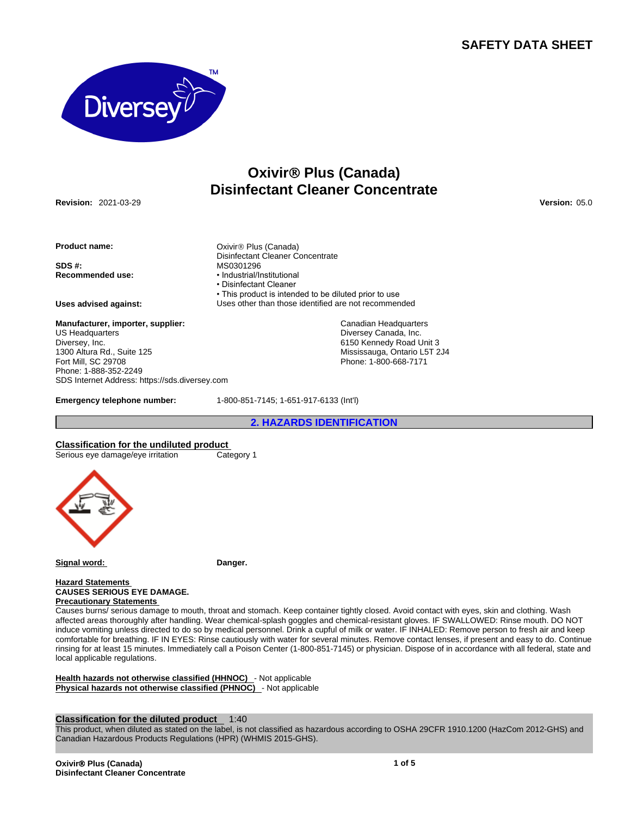# **SAFETY DATA SHEET**



# **OxivirÒ Plus (Canada) Disinfectant Cleaner Concentrate**

**Revision:** 2021-03-29 **Version:** 05.0

**Product name: Canada Product name: Canada Canada Canada Canada Canada Canada Canada Canada Canada Canada Canada Canada Canada Canada Canada Canada Canada Canada Canada Canada**

**Recommended use:** 

**Manufacturer, importer, supplier:** US Headquarters Diversey, Inc. 1300 Altura Rd., Suite 125 Fort Mill, SC 29708 Phone: 1-888-352-2249 SDS Internet Address: https://sds.diversey.com

Disinfectant Cleaner Concentrate **SDS #: MS0301296**<br> **Recommended use: CONSTANT + CONSTANT** + Industrial/Institutional • Disinfectant Cleaner • This product is intended to be diluted prior to use **Uses advised against:** Uses other than those identified are not recommended

> Canadian Headquarters Diversey Canada, Inc. 6150 Kennedy Road Unit 3 Mississauga, Ontario L5T 2J4 Phone: 1-800-668-7171

**Emergency telephone number:** 1-800-851-7145; 1-651-917-6133 (Int'l)

**2. HAZARDS IDENTIFICATION**

**Classification for the undiluted product**

Serious eye damage/eye irritation Category 1



Signal word: **Danger.** 

### **Hazard Statements CAUSES SERIOUS EYE DAMAGE. Precautionary Statements**

Causes burns/ serious damage to mouth, throat and stomach. Keep container tightly closed. Avoid contact with eyes, skin and clothing. Wash affected areas thoroughly after handling. Wear chemical-splash goggles and chemical-resistant gloves. IF SWALLOWED: Rinse mouth. DO NOT induce vomiting unless directed to do so by medical personnel. Drink a cupful of milk or water. IF INHALED: Remove person to fresh air and keep comfortable for breathing. IF IN EYES: Rinse cautiously with water for several minutes. Remove contact lenses, if present and easy to do. Continue rinsing for at least 15 minutes. Immediately call a Poison Center (1-800-851-7145) or physician. Dispose of in accordance with all federal, state and local applicable regulations.

**Health hazards not otherwise classified (HHNOC)** - Not applicable **Physical hazards not otherwise classified (PHNOC)** - Not applicable

# **Classification for the diluted product** 1:40

This product, when diluted as stated on the label, is not classified as hazardous according to OSHA 29CFR 1910.1200 (HazCom 2012-GHS) and Canadian Hazardous Products Regulations (HPR) (WHMIS 2015-GHS).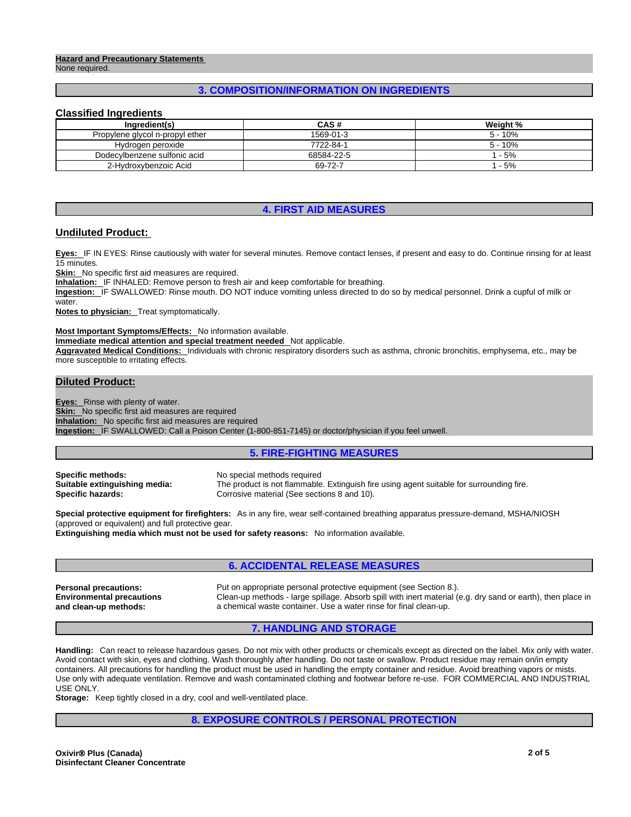### **Hazard and Precautionary Statements**  None required.

# **3. COMPOSITION/INFORMATION ON INGREDIENTS**

### **Classified Ingredients**

| Ingredient(s)                   | CAS#       | Weight %  |
|---------------------------------|------------|-----------|
| Propylene glycol n-propyl ether | 1569-01-3  | $5 - 10%$ |
| Hydrogen peroxide               | 7722-84-1  | $5 - 10%$ |
| Dodecylbenzene sulfonic acid    | 68584-22-5 | $-5%$     |
| 2-Hydroxybenzoic Acid           | 69-72-7    | $-5%$     |

### **4. FIRST AID MEASURES**

# **Undiluted Product:**

**Eyes:** IF IN EYES: Rinse cautiously with water for several minutes. Remove contact lenses, if present and easy to do. Continue rinsing for at least 15 minutes.

**Skin:** No specific first aid measures are required.

**Inhalation:** IF INHALED: Remove person to fresh air and keep comfortable for breathing.

Ingestion: IF SWALLOWED: Rinse mouth. DO NOT induce vomiting unless directed to do so by medical personnel. Drink a cupful of milk or water.

**Notes to physician:** Treat symptomatically.

#### **Most Important Symptoms/Effects:** No information available.

**Immediate medical attention and special treatment needed** Not applicable.

**Aggravated Medical Conditions:** Individuals with chronic respiratory disorders such as asthma, chronic bronchitis, emphysema, etc., may be more susceptible to irritating effects.

### **Diluted Product:**

**Eyes:** Rinse with plenty of water.

**Skin:** No specific first aid measures are required **Inhalation:** No specific first aid measures are required

**Ingestion:** IF SWALLOWED: Call a Poison Center (1-800-851-7145) or doctor/physician if you feel unwell.

### **5. FIRE-FIGHTING MEASURES**

| Specific methods:             |  |
|-------------------------------|--|
| Suitable extinguishing media: |  |
| <b>Specific hazards:</b>      |  |

**Specific methods:** No special methods required The product is not flammable. Extinguish fire using agent suitable for surrounding fire. Corrosive material (See sections 8 and 10).

**Special protective equipment for firefighters:** As in any fire, wear self-contained breathing apparatus pressure-demand, MSHA/NIOSH (approved or equivalent) and full protective gear.

**Extinguishing media which must not be used for safety reasons:** No information available.

# **6. ACCIDENTAL RELEASE MEASURES**

**Environmental precautions and clean-up methods:** 

**Personal precautions:** Put on appropriate personal protective equipment (see Section 8.). Clean-up methods - large spillage. Absorb spill with inert material (e.g. dry sand or earth), then place in a chemical waste container. Use a water rinse for final clean-up.

### **7. HANDLING AND STORAGE**

**Handling:** Can react to release hazardous gases. Do not mix with other products or chemicals except as directed on the label. Mix only with water. Avoid contact with skin, eyes and clothing. Wash thoroughly after handling. Do not taste or swallow. Product residue may remain on/in empty containers. All precautions for handling the product must be used in handling the empty container and residue. Avoid breathing vapors or mists. Use only with adequate ventilation. Remove and wash contaminated clothing and footwear before re-use. FOR COMMERCIAL AND INDUSTRIAL USE ONLY.

**Storage:** Keep tightly closed in a dry, cool and well-ventilated place.

# **8. EXPOSURE CONTROLS / PERSONAL PROTECTION**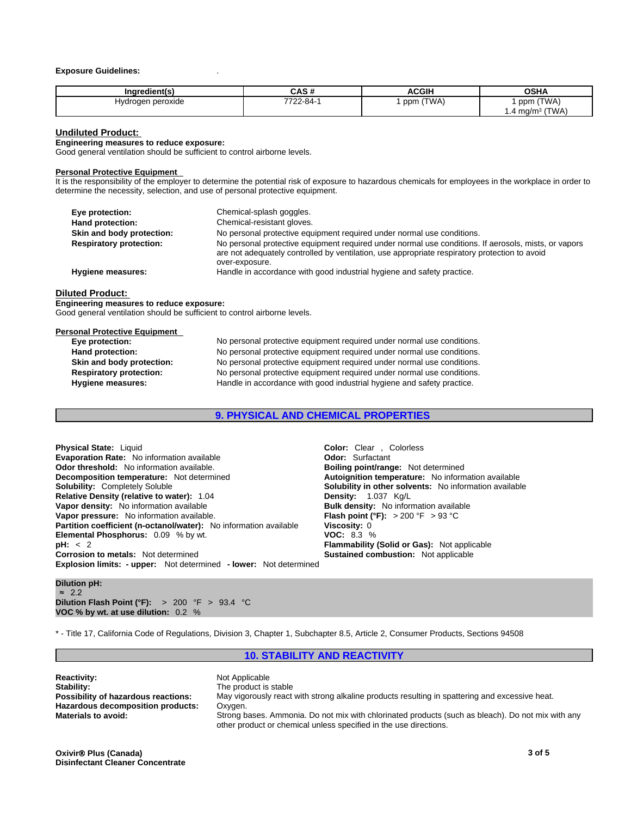### **Exposure Guidelines:** .

| Inaredient(s)     | CAS#     | <b>ACGIH</b> | <b>OSHA</b>               |
|-------------------|----------|--------------|---------------------------|
| Hydrogen peroxide | 7722-84- | (TWA)<br>ppm | (TWA)<br>ppm              |
|                   |          |              | (TWA<br>mg/m <sup>3</sup> |

### **Undiluted Product:**

**Engineering measures to reduce exposure:**

Good general ventilation should be sufficient to control airborne levels.

### **Personal Protective Equipment**

It is the responsibility of the employer to determine the potential risk of exposure to hazardous chemicals for employees in the workplace in order to determine the necessity, selection, and use of personal protective equipment.

| Chemical-splash goggles.                                                                                                                                                                              |
|-------------------------------------------------------------------------------------------------------------------------------------------------------------------------------------------------------|
| Chemical-resistant gloves.                                                                                                                                                                            |
| No personal protective equipment required under normal use conditions.                                                                                                                                |
| No personal protective equipment required under normal use conditions. If aerosols, mists, or vapors<br>are not adequately controlled by ventilation, use appropriate respiratory protection to avoid |
| over-exposure.                                                                                                                                                                                        |
| Handle in accordance with good industrial hygiene and safety practice.                                                                                                                                |
|                                                                                                                                                                                                       |

### **Diluted Product:**

**Engineering measures to reduce exposure:** Good general ventilation should be sufficient to control airborne levels.

| <b>Personal Protective Equipment</b> |                                                                        |
|--------------------------------------|------------------------------------------------------------------------|
| Eye protection:                      | No personal protective equipment required under normal use conditions. |
| Hand protection:                     | No personal protective equipment required under normal use conditions. |
| Skin and body protection:            | No personal protective equipment required under normal use conditions. |
| <b>Respiratory protection:</b>       | No personal protective equipment required under normal use conditions. |
| <b>Hygiene measures:</b>             | Handle in accordance with good industrial hygiene and safety practice. |
|                                      |                                                                        |

# **9. PHYSICAL AND CHEMICAL PROPERTIES**

| <b>Physical State: Liquid</b>                                            | <b>Color:</b> Clear . Colorless                            |  |  |
|--------------------------------------------------------------------------|------------------------------------------------------------|--|--|
| <b>Evaporation Rate:</b> No information available                        | <b>Odor:</b> Surfactant                                    |  |  |
| <b>Odor threshold:</b> No information available.                         | <b>Boiling point/range: Not determined</b>                 |  |  |
| <b>Decomposition temperature:</b> Not determined                         | Autoignition temperature: No information available         |  |  |
| <b>Solubility: Completely Soluble</b>                                    | <b>Solubility in other solvents:</b> No information availa |  |  |
| <b>Relative Density (relative to water): 1.04</b>                        | <b>Density:</b> 1.037 Kg/L                                 |  |  |
| Vapor density: No information available                                  | <b>Bulk density:</b> No information available              |  |  |
| Vapor pressure: No information available.                                | <b>Flash point (°F):</b> $> 200$ °F $> 93$ °C              |  |  |
| <b>Partition coefficient (n-octanol/water):</b> No information available | Viscosity: 0                                               |  |  |
| <b>Elemental Phosphorus: 0.09 % by wt.</b>                               | <b>VOC: 8.3 %</b>                                          |  |  |
| pH: < 2                                                                  | <b>Flammability (Solid or Gas):</b> Not applicable         |  |  |
| <b>Corrosion to metals:</b> Not determined                               | <b>Sustained combustion:</b> Not applicable                |  |  |
| <b>Explosion limits: - upper:</b> Not determined - lower: Not determined |                                                            |  |  |

**Clear** , Colorless **point/range:** Not determined **Decombination in depending in the determined in the determined in the determined in the determined in the determined in the mater of the mater of the mater of the mater of the mater of the mater of the mater of the mater ty in other solvents:** No information available **nsity:** No information available **Vapor (°F):**  $> 200$  °F  $> 93$  °C **ky:** 0 **bility (Solid or Gas):** Not applicable **ed combustion:** Not applicable

**Dilution pH:** ≈ 2.2 **Dilution Flash Point (°F):** > 200 °F > 93.4 °C **VOC % by wt. at use dilution:** 0.2 %

\* - Title 17, California Code of Regulations, Division 3, Chapter 1, Subchapter 8.5, Article 2, Consumer Products, Sections 94508

### **10. STABILITY AND REACTIVITY**

**Not Applicable** The product is stable May vigorously react with strong alkaline products resulting in spattering and excessive heat. Oxygen. **Materials to avoid:** Strong bases. Ammonia. Do not mix with chlorinated products (such as bleach). Do not mix with any other product or chemical unless specified in the use directions.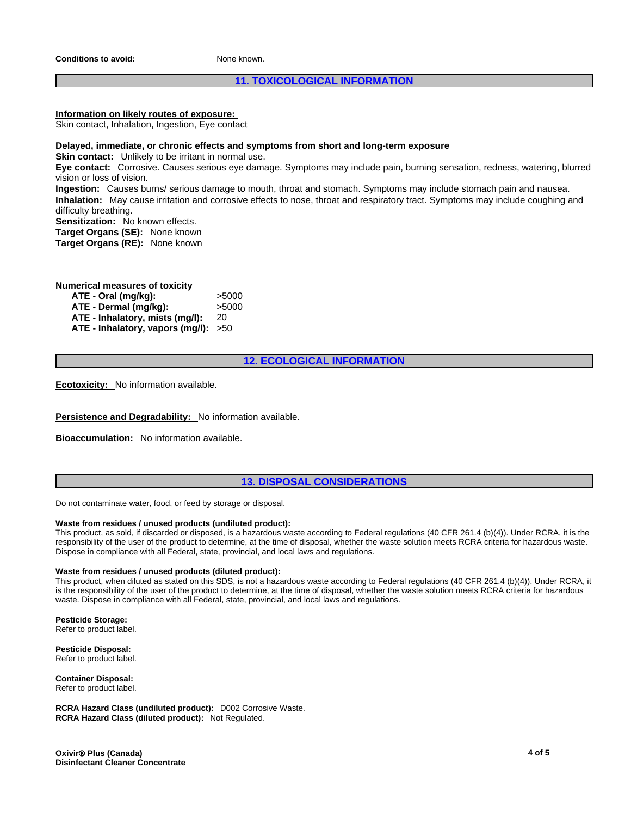**Conditions to avoid:** None known.

# **11. TOXICOLOGICAL INFORMATION**

# **Information on likely routes of exposure:**

Skin contact, Inhalation, Ingestion, Eye contact

### **Delayed, immediate, or chronic effects and symptoms from short and long-term exposure**

**Skin contact:** Unlikely to be irritant in normal use.

**Eye contact:** Corrosive. Causes serious eye damage. Symptoms may include pain, burning sensation, redness, watering, blurred vision or loss of vision.

**Ingestion:** Causes burns/ serious damage to mouth, throat and stomach. Symptoms may include stomach pain and nausea. **Inhalation:** May cause irritation and corrosive effects to nose, throat and respiratory tract. Symptoms may include coughing and difficulty breathing.

**Sensitization:** No known effects. **Target Organs (SE):** None known

**Target Organs (RE):** None known

**Numerical measures of toxicity**

| ATE - Oral (mg/kg):                  | >5000 |
|--------------------------------------|-------|
| ATE - Dermal (mg/kg):                | >5000 |
| ATE - Inhalatory, mists (mg/l):      | 20    |
| ATE - Inhalatory, vapors (mg/l): >50 |       |

# **12. ECOLOGICAL INFORMATION**

**Ecotoxicity:** No information available.

**Persistence and Degradability:** No information available.

**Bioaccumulation:** No information available.

# **13. DISPOSAL CONSIDERATIONS**

Do not contaminate water, food, or feed by storage or disposal.

### **Waste from residues / unused products (undiluted product):**

This product, as sold, if discarded or disposed, is a hazardous waste according to Federal regulations (40 CFR 261.4 (b)(4)). Under RCRA, it is the responsibility of the user of the product to determine, at the time of disposal, whether the waste solution meets RCRA criteria for hazardous waste. Dispose in compliance with all Federal, state, provincial, and local laws and regulations.

### **Waste from residues / unused products (diluted product):**

This product, when diluted as stated on this SDS, is not a hazardous waste according to Federal regulations (40 CFR 261.4 (b)(4)). Under RCRA, it is the responsibility of the user of the product to determine, at the time of disposal, whether the waste solution meets RCRA criteria for hazardous waste. Dispose in compliance with all Federal, state, provincial, and local laws and regulations.

**Pesticide Storage:**

Refer to product label.

**Pesticide Disposal:** Refer to product label.

**Container Disposal:** Refer to product label.

**RCRA Hazard Class (undiluted product):** D002 Corrosive Waste. **RCRA Hazard Class (diluted product):** Not Regulated.